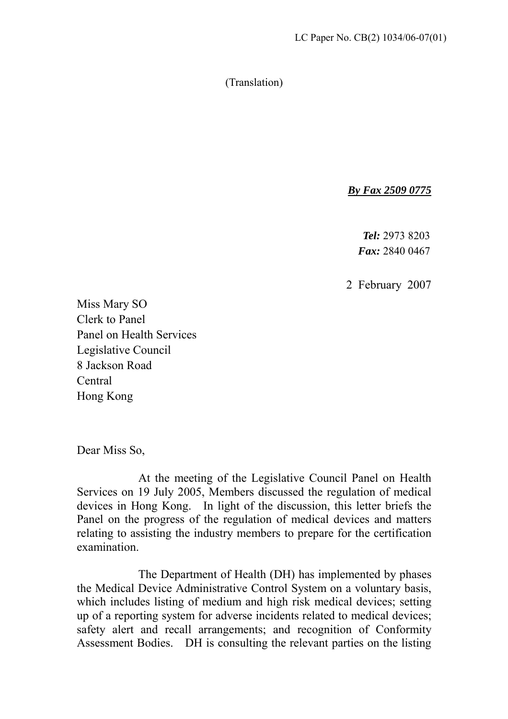(Translation)

*By Fax 2509 0775*

*Tel:* 2973 8203 *Fax:* 2840 0467

2 February 2007

Miss Mary SO Clerk to Panel Panel on Health Services Legislative Council 8 Jackson Road Central Hong Kong

Dear Miss So,

 At the meeting of the Legislative Council Panel on Health Services on 19 July 2005, Members discussed the regulation of medical devices in Hong Kong. In light of the discussion, this letter briefs the Panel on the progress of the regulation of medical devices and matters relating to assisting the industry members to prepare for the certification examination.

 The Department of Health (DH) has implemented by phases the Medical Device Administrative Control System on a voluntary basis, which includes listing of medium and high risk medical devices; setting up of a reporting system for adverse incidents related to medical devices; safety alert and recall arrangements; and recognition of Conformity Assessment Bodies. DH is consulting the relevant parties on the listing